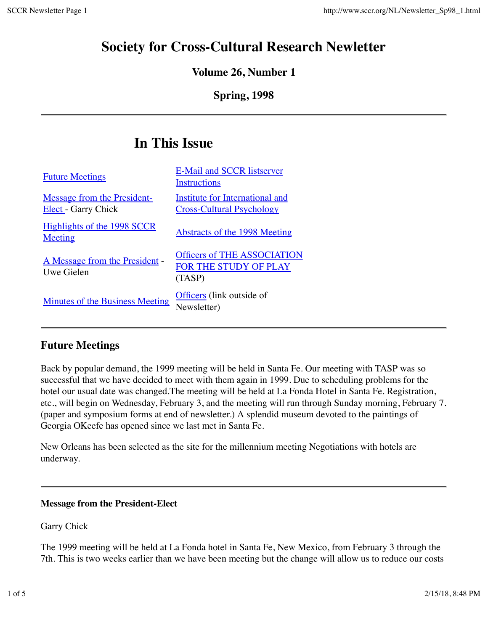# **Society for Cross-Cultural Research Newletter**

### **Volume 26, Number 1**

## **Spring, 1998**

# **In This Issue**

| <b>Future Meetings</b>                                    | <b>E-Mail and SCCR listserver</b><br>Instructions                     |
|-----------------------------------------------------------|-----------------------------------------------------------------------|
| Message from the President-<br><b>Elect</b> - Garry Chick | Institute for International and<br><b>Cross-Cultural Psychology</b>   |
| Highlights of the 1998 SCCR<br>Meeting                    | Abstracts of the 1998 Meeting                                         |
| <u>A Message from the President</u> -<br>Uwe Gielen       | <b>Officers of THE ASSOCIATION</b><br>FOR THE STUDY OF PLAY<br>(TASP) |
| <b>Minutes of the Business Meeting</b>                    | Officers (link outside of<br>Newsletter)                              |
|                                                           |                                                                       |

# **Future Meetings**

Back by popular demand, the 1999 meeting will be held in Santa Fe. Our meeting with TASP was so successful that we have decided to meet with them again in 1999. Due to scheduling problems for the hotel our usual date was changed.The meeting will be held at La Fonda Hotel in Santa Fe. Registration, etc., will begin on Wednesday, February 3, and the meeting will run through Sunday morning, February 7. (paper and symposium forms at end of newsletter.) A splendid museum devoted to the paintings of Georgia OKeefe has opened since we last met in Santa Fe.

New Orleans has been selected as the site for the millennium meeting Negotiations with hotels are underway.

#### **Message from the President-Elect**

Garry Chick

The 1999 meeting will be held at La Fonda hotel in Santa Fe, New Mexico, from February 3 through the 7th. This is two weeks earlier than we have been meeting but the change will allow us to reduce our costs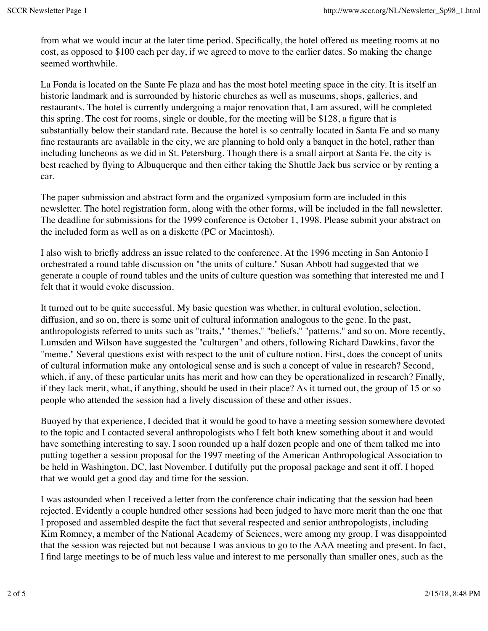from what we would incur at the later time period. Specifically, the hotel offered us meeting rooms at no cost, as opposed to \$100 each per day, if we agreed to move to the earlier dates. So making the change seemed worthwhile.

La Fonda is located on the Sante Fe plaza and has the most hotel meeting space in the city. It is itself an historic landmark and is surrounded by historic churches as well as museums, shops, galleries, and restaurants. The hotel is currently undergoing a major renovation that, I am assured, will be completed this spring. The cost for rooms, single or double, for the meeting will be \$128, a figure that is substantially below their standard rate. Because the hotel is so centrally located in Santa Fe and so many fine restaurants are available in the city, we are planning to hold only a banquet in the hotel, rather than including luncheons as we did in St. Petersburg. Though there is a small airport at Santa Fe, the city is best reached by flying to Albuquerque and then either taking the Shuttle Jack bus service or by renting a car.

The paper submission and abstract form and the organized symposium form are included in this newsletter. The hotel registration form, along with the other forms, will be included in the fall newsletter. The deadline for submissions for the 1999 conference is October 1, 1998. Please submit your abstract on the included form as well as on a diskette (PC or Macintosh).

I also wish to briefly address an issue related to the conference. At the 1996 meeting in San Antonio I orchestrated a round table discussion on "the units of culture." Susan Abbott had suggested that we generate a couple of round tables and the units of culture question was something that interested me and I felt that it would evoke discussion.

It turned out to be quite successful. My basic question was whether, in cultural evolution, selection, diffusion, and so on, there is some unit of cultural information analogous to the gene. In the past, anthropologists referred to units such as "traits," "themes," "beliefs," "patterns," and so on. More recently, Lumsden and Wilson have suggested the "culturgen" and others, following Richard Dawkins, favor the "meme." Several questions exist with respect to the unit of culture notion. First, does the concept of units of cultural information make any ontological sense and is such a concept of value in research? Second, which, if any, of these particular units has merit and how can they be operationalized in research? Finally, if they lack merit, what, if anything, should be used in their place? As it turned out, the group of 15 or so people who attended the session had a lively discussion of these and other issues.

Buoyed by that experience, I decided that it would be good to have a meeting session somewhere devoted to the topic and I contacted several anthropologists who I felt both knew something about it and would have something interesting to say. I soon rounded up a half dozen people and one of them talked me into putting together a session proposal for the 1997 meeting of the American Anthropological Association to be held in Washington, DC, last November. I dutifully put the proposal package and sent it off. I hoped that we would get a good day and time for the session.

I was astounded when I received a letter from the conference chair indicating that the session had been rejected. Evidently a couple hundred other sessions had been judged to have more merit than the one that I proposed and assembled despite the fact that several respected and senior anthropologists, including Kim Romney, a member of the National Academy of Sciences, were among my group. I was disappointed that the session was rejected but not because I was anxious to go to the AAA meeting and present. In fact, I find large meetings to be of much less value and interest to me personally than smaller ones, such as the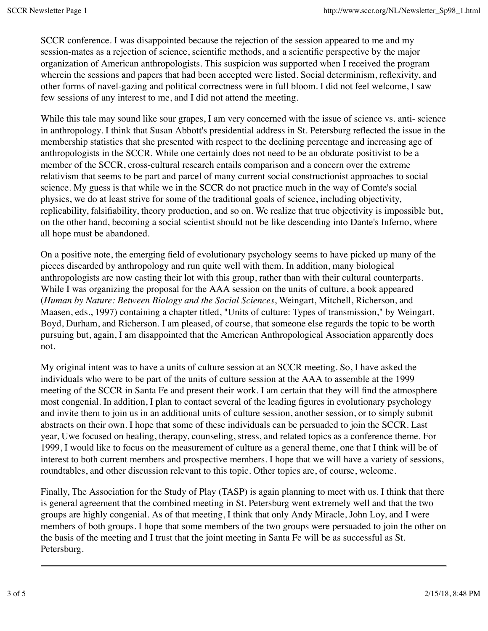SCCR conference. I was disappointed because the rejection of the session appeared to me and my session-mates as a rejection of science, scientific methods, and a scientific perspective by the major organization of American anthropologists. This suspicion was supported when I received the program wherein the sessions and papers that had been accepted were listed. Social determinism, reflexivity, and other forms of navel-gazing and political correctness were in full bloom. I did not feel welcome, I saw few sessions of any interest to me, and I did not attend the meeting.

While this tale may sound like sour grapes, I am very concerned with the issue of science vs. anti- science in anthropology. I think that Susan Abbott's presidential address in St. Petersburg reflected the issue in the membership statistics that she presented with respect to the declining percentage and increasing age of anthropologists in the SCCR. While one certainly does not need to be an obdurate positivist to be a member of the SCCR, cross-cultural research entails comparison and a concern over the extreme relativism that seems to be part and parcel of many current social constructionist approaches to social science. My guess is that while we in the SCCR do not practice much in the way of Comte's social physics, we do at least strive for some of the traditional goals of science, including objectivity, replicability, falsifiability, theory production, and so on. We realize that true objectivity is impossible but, on the other hand, becoming a social scientist should not be like descending into Dante's Inferno, where all hope must be abandoned.

On a positive note, the emerging field of evolutionary psychology seems to have picked up many of the pieces discarded by anthropology and run quite well with them. In addition, many biological anthropologists are now casting their lot with this group, rather than with their cultural counterparts. While I was organizing the proposal for the AAA session on the units of culture, a book appeared (*Human by Nature: Between Biology and the Social Sciences*, Weingart, Mitchell, Richerson, and Maasen, eds., 1997) containing a chapter titled, "Units of culture: Types of transmission," by Weingart, Boyd, Durham, and Richerson. I am pleased, of course, that someone else regards the topic to be worth pursuing but, again, I am disappointed that the American Anthropological Association apparently does not.

My original intent was to have a units of culture session at an SCCR meeting. So, I have asked the individuals who were to be part of the units of culture session at the AAA to assemble at the 1999 meeting of the SCCR in Santa Fe and present their work. I am certain that they will find the atmosphere most congenial. In addition, I plan to contact several of the leading figures in evolutionary psychology and invite them to join us in an additional units of culture session, another session, or to simply submit abstracts on their own. I hope that some of these individuals can be persuaded to join the SCCR. Last year, Uwe focused on healing, therapy, counseling, stress, and related topics as a conference theme. For 1999, I would like to focus on the measurement of culture as a general theme, one that I think will be of interest to both current members and prospective members. I hope that we will have a variety of sessions, roundtables, and other discussion relevant to this topic. Other topics are, of course, welcome.

Finally, The Association for the Study of Play (TASP) is again planning to meet with us. I think that there is general agreement that the combined meeting in St. Petersburg went extremely well and that the two groups are highly congenial. As of that meeting, I think that only Andy Miracle, John Loy, and I were members of both groups. I hope that some members of the two groups were persuaded to join the other on the basis of the meeting and I trust that the joint meeting in Santa Fe will be as successful as St. Petersburg.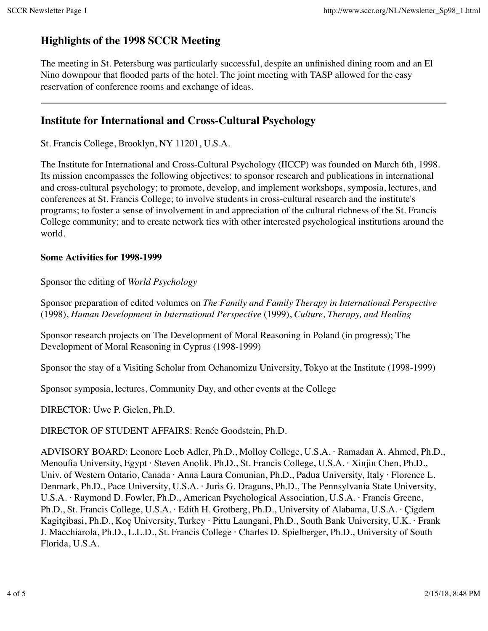## **Highlights of the 1998 SCCR Meeting**

The meeting in St. Petersburg was particularly successful, despite an unfinished dining room and an El Nino downpour that flooded parts of the hotel. The joint meeting with TASP allowed for the easy reservation of conference rooms and exchange of ideas.

## **Institute for International and Cross-Cultural Psychology**

St. Francis College, Brooklyn, NY 11201, U.S.A.

The Institute for International and Cross-Cultural Psychology (IICCP) was founded on March 6th, 1998. Its mission encompasses the following objectives: to sponsor research and publications in international and cross-cultural psychology; to promote, develop, and implement workshops, symposia, lectures, and conferences at St. Francis College; to involve students in cross-cultural research and the institute's programs; to foster a sense of involvement in and appreciation of the cultural richness of the St. Francis College community; and to create network ties with other interested psychological institutions around the world.

#### **Some Activities for 1998-1999**

Sponsor the editing of *World Psychology*

Sponsor preparation of edited volumes on *The Family and Family Therapy in International Perspective* (1998), *Human Development in International Perspective* (1999), *Culture, Therapy, and Healing*

Sponsor research projects on The Development of Moral Reasoning in Poland (in progress); The Development of Moral Reasoning in Cyprus (1998-1999)

Sponsor the stay of a Visiting Scholar from Ochanomizu University, Tokyo at the Institute (1998-1999)

Sponsor symposia, lectures, Community Day, and other events at the College

DIRECTOR: Uwe P. Gielen, Ph.D.

DIRECTOR OF STUDENT AFFAIRS: Renée Goodstein, Ph.D.

ADVISORY BOARD: Leonore Loeb Adler, Ph.D., Molloy College, U.S.A. · Ramadan A. Ahmed, Ph.D., Menoufia University, Egypt · Steven Anolik, Ph.D., St. Francis College, U.S.A. · Xinjin Chen, Ph.D., Univ. of Western Ontario, Canada · Anna Laura Comunian, Ph.D., Padua University, Italy · Florence L. Denmark, Ph.D., Pace University, U.S.A. · Juris G. Draguns, Ph.D., The Pennsylvania State University, U.S.A. · Raymond D. Fowler, Ph.D., American Psychological Association, U.S.A. · Francis Greene, Ph.D., St. Francis College, U.S.A. · Edith H. Grotberg, Ph.D., University of Alabama, U.S.A. · Çigdem Kagitçibasi, Ph.D., Koç University, Turkey · Pittu Laungani, Ph.D., South Bank University, U.K. · Frank J. Macchiarola, Ph.D., L.L.D., St. Francis College · Charles D. Spielberger, Ph.D., University of South Florida, U.S.A.